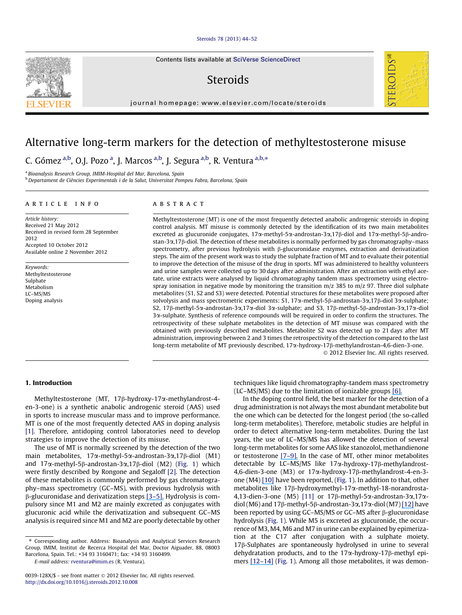## [Steroids 78 \(2013\) 44–52](http://dx.doi.org/10.1016/j.steroids.2012.10.008)

Contents lists available at [SciVerse ScienceDirect](http://www.sciencedirect.com/science/journal/0039128X)

# Steroids



# Alternative long-term markers for the detection of methyltestosterone misuse

C. Gómez <sup>a,b</sup>, O.J. Pozo <sup>a</sup>, J. Marcos <sup>a,b</sup>, J. Segura <sup>a,b</sup>, R. Ventura <sup>a,b,</sup>\*

<sup>a</sup> Bioanalysis Research Group, IMIM-Hospital del Mar, Barcelona, Spain <sup>b</sup> Departament de Ciències Experimentals i de la Salut, Universitat Pompeu Fabra, Barcelona, Spain

## article info

# **ABSTRACT**

Article history: Received 21 May 2012 Received in revised form 28 September 2012 Accepted 10 October 2012 Available online 2 November 2012

Keywords: Methyltestosterone Sulphate Metabolism LC–MS/MS Doping analysis

Methyltestosterone (MT) is one of the most frequently detected anabolic androgenic steroids in doping control analysis. MT misuse is commonly detected by the identification of its two main metabolites excreted as glucuronide conjugates,  $17\alpha$ -methyl-5 $\alpha$ -androstan-3 $\alpha$ ,17 $\beta$ -diol and  $17\alpha$ -methyl-5 $\beta$ -androstan-3a,17b-diol. The detection of these metabolites is normally performed by gas chromatography–mass spectrometry, after previous hydrolysis with  $\beta$ -glucuronidase enzymes, extraction and derivatization steps. The aim of the present work was to study the sulphate fraction of MT and to evaluate their potential to improve the detection of the misuse of the drug in sports. MT was administered to healthy volunteers and urine samples were collected up to 30 days after administration. After an extraction with ethyl acetate, urine extracts were analysed by liquid chromatography tandem mass spectrometry using electrospray ionisation in negative mode by monitoring the transition  $m/z$  385 to  $m/z$  97. Three diol sulphate metabolites (S1, S2 and S3) were detected. Potential structures for these metabolites were proposed after solvolysis and mass spectrometric experiments: S1, 17 $\alpha$ -methyl-5 $\beta$ -androstan-3 $\alpha$ ,17 $\beta$ -diol 3 $\alpha$ -sulphate; S2, 17b-methyl-5a-androstan-3a,17a-diol 3a-sulphate; and S3, 17b-methyl-5b-androstan-3a,17a-diol 3a-sulphate. Synthesis of reference compounds will be required in order to confirm the structures. The retrospectivity of these sulphate metabolites in the detection of MT misuse was compared with the obtained with previously described metabolites. Metabolite S2 was detected up to 21 days after MT administration, improving between 2 and 3 times the retrospectivity of the detection compared to the last long-term metabolite of MT previously described, 17 $\alpha$ -hydroxy-17 $\beta$ -methylandrostan-4,6-dien-3-one.

- 2012 Elsevier Inc. All rights reserved.

FEROIDS

## 1. Introduction

Methyltestosterone (MT, 17b-hydroxy-17a-methylandrost-4 en-3-one) is a synthetic anabolic androgenic steroid (AAS) used in sports to increase muscular mass and to improve performance. MT is one of the most frequently detected AAS in doping analysis [1]. Therefore, antidoping control laboratories need to develop strategies to improve the detection of its misuse.

The use of MT is normally screened by the detection of the two main metabolites,  $17\alpha$ -methyl-5 $\alpha$ -androstan-3 $\alpha$ ,17 $\beta$ -diol (M1) and  $17\alpha$ -methyl-5 $\beta$ -androstan-3 $\alpha$ ,17 $\beta$ -diol (M2) (Fig. 1) which were firstly described by Rongone and Segaloff [2]. The detection of these metabolites is commonly performed by gas chromatography–mass spectrometry (GC–MS), with previous hydrolysis with  $\beta$ -glucuronidase and derivatization steps [\[3–5\].](https://www.researchgate.net/publication/223716228_Metabolism_of_anabolic-steroids_in_man_-_Synthesis_and_use_of_reference_substances_for_identification_of_anabolic-steroid_metabolites?el=1_x_8&enrichId=rgreq-04eebf70-7c2d-42ee-9bbf-8444a7efb376&enrichSource=Y292ZXJQYWdlOzIzMjkzMjYyNDtBUzoxMDI4ODE4NDM3NDQ3NzJAMTQwMTU0MDM1MTU4Ng==) Hydrolysis is compulsory since M1 and M2 are mainly excreted as conjugates with glucuronic acid while the derivatization and subsequent GC–MS analysis is required since M1 and M2 are poorly detectable by other techniques like liquid chromatography-tandem mass spectrometry (LC–MS/MS) due to the limitation of ionizable groups [\[6\].](https://www.researchgate.net/publication/6478644_Ionization_of_anabolic_steroids_by_adduct_formation_in_liquid_chromatography_mass_spectrometry?el=1_x_8&enrichId=rgreq-04eebf70-7c2d-42ee-9bbf-8444a7efb376&enrichSource=Y292ZXJQYWdlOzIzMjkzMjYyNDtBUzoxMDI4ODE4NDM3NDQ3NzJAMTQwMTU0MDM1MTU4Ng==)

In the doping control field, the best marker for the detection of a drug administration is not always the most abundant metabolite but the one which can be detected for the longest period (the so-called long-term metabolites). Therefore, metabolic studies are helpful in order to detect alternative long-term metabolites. During the last years, the use of LC–MS/MS has allowed the detection of several long-term metabolites for some AAS like stanozolol, methandienone or testosterone [\[7–9\].](https://www.researchgate.net/publication/26235938_Detection_and_structural_investigation_of_metabolites_of_stanozolol_in_human_urine_by_liquid_chromatography_tandem_mass_spectrometry?el=1_x_8&enrichId=rgreq-04eebf70-7c2d-42ee-9bbf-8444a7efb376&enrichSource=Y292ZXJQYWdlOzIzMjkzMjYyNDtBUzoxMDI4ODE4NDM3NDQ3NzJAMTQwMTU0MDM1MTU4Ng==) In the case of MT, other minor metabolites detectable by LC-MS/MS like 17α-hydroxy-17β-methylandrost-4,6-dien-3-one (M3) or 17a-hydroxy-17b-methylandrost-4-en-3 one (M4) [\[10\]](https://www.researchgate.net/publication/26764186_Detection_and_Characterization_of_a_New_Metabolite_of_17_-Methyltestosterone?el=1_x_8&enrichId=rgreq-04eebf70-7c2d-42ee-9bbf-8444a7efb376&enrichSource=Y292ZXJQYWdlOzIzMjkzMjYyNDtBUzoxMDI4ODE4NDM3NDQ3NzJAMTQwMTU0MDM1MTU4Ng==) have been reported, (Fig. 1). In addition to that, other metabolites like 17b-hydroxymethyl-17a-methyl-18-norandrosta-4,13-dien-3-one (M5) [11] or 17 $\beta$ -methyl-5 $\alpha$ -androstan-3 $\alpha$ ,17 $\alpha$ diol (M6) and 17 $\beta$ -methyl-5 $\beta$ -androstan-3 $\alpha$ ,17 $\alpha$ -diol (M7) [\[12\]](https://www.researchgate.net/publication/21706532_17-Epimerization_of_17_alpha-_methyl_anabolic_steroids_in_humans_Metabolism_and_synthesis_of_17_alpha-_hydroxy-_17ss-_methyl_steroids?el=1_x_8&enrichId=rgreq-04eebf70-7c2d-42ee-9bbf-8444a7efb376&enrichSource=Y292ZXJQYWdlOzIzMjkzMjYyNDtBUzoxMDI4ODE4NDM3NDQ3NzJAMTQwMTU0MDM1MTU4Ng==) have been reported by using GC–MS/MS or GC–MS after b-glucuronidase hydrolysis (Fig. 1). While M5 is excreted as glucuronide, the occurrence of M3, M4, M6 and M7 in urine can be explained by epimerization at the C17 after conjugation with a sulphate moiety. 17b-Sulphates are spontaneously hydrolysed in urine to several dehydratation products, and to the 17α-hydroxy-17β-methyl epimers [12-14] (Fig. 1). Among all those metabolites, it was demon-



<sup>⇑</sup> Corresponding author. Address: Bioanalysis and Analytical Services Research Group, IMIM, Institut de Recerca Hospital del Mar, Doctor Aiguader, 88, 08003 Barcelona, Spain. Tel.: +34 93 3160471; fax: +34 93 3160499.

E-mail address: [rventura@imim.es](mailto:rventura@imim.es) (R. Ventura).

<sup>0039-128</sup>X/\$ - see front matter © 2012 Elsevier Inc. All rights reserved. <http://dx.doi.org/10.1016/j.steroids.2012.10.008>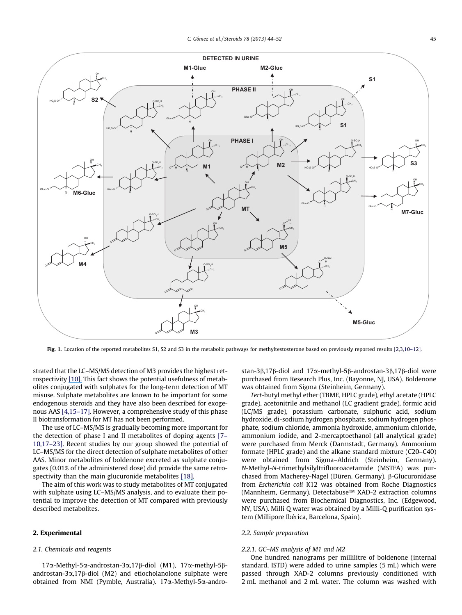

Fig. 1. Location of the reported metabolites S1, S2 and S3 in the metabolic pathways for methyltestosterone based on previously reported results [2,3,10-12].

strated that the LC–MS/MS detection of M3 provides the highest retrospectivity [\[10\].](https://www.researchgate.net/publication/26764186_Detection_and_Characterization_of_a_New_Metabolite_of_17_-Methyltestosterone?el=1_x_8&enrichId=rgreq-04eebf70-7c2d-42ee-9bbf-8444a7efb376&enrichSource=Y292ZXJQYWdlOzIzMjkzMjYyNDtBUzoxMDI4ODE4NDM3NDQ3NzJAMTQwMTU0MDM1MTU4Ng==) This fact shows the potential usefulness of metabolites conjugated with sulphates for the long-term detection of MT misuse. Sulphate metabolites are known to be important for some endogenous steroids and they have also been described for exogenous AAS [4,15–17]. However, a comprehensive study of this phase II biotransformation for MT has not been performed.

The use of LC–MS/MS is gradually becoming more important for the detection of phase I and II metabolites of doping agents [7– 10,17–23]. Recent studies by our group showed the potential of LC–MS/MS for the direct detection of sulphate metabolites of other AAS. Minor metabolites of boldenone excreted as sulphate conjugates (0.01% of the administered dose) did provide the same retrospectivity than the main glucuronide metabolites [\[18\].](https://www.researchgate.net/publication/225184484_New_potential_markers_for_the_detection_of_boldenone_misuse?el=1_x_8&enrichId=rgreq-04eebf70-7c2d-42ee-9bbf-8444a7efb376&enrichSource=Y292ZXJQYWdlOzIzMjkzMjYyNDtBUzoxMDI4ODE4NDM3NDQ3NzJAMTQwMTU0MDM1MTU4Ng==)

The aim of this work was to study metabolites of MT conjugated with sulphate using LC–MS/MS analysis, and to evaluate their potential to improve the detection of MT compared with previously described metabolites.

## 2. Experimental

## 2.1. Chemicals and reagents

17a-Methyl-5a-androstan-3a,17b-diol (M1), 17a-methyl-5bandrostan-3 $\alpha$ ,17 $\beta$ -diol (M2) and etiocholanolone sulphate were obtained from NMI (Pymble, Australia). 17a-Methyl-5a-androstan-3 $\beta$ ,17 $\beta$ -diol and 17 $\alpha$ -methyl-5 $\beta$ -androstan-3 $\beta$ ,17 $\beta$ -diol were purchased from Research Plus, Inc. (Bayonne, NJ, USA). Boldenone was obtained from Sigma (Steinheim, Germany).

Tert-butyl methyl ether (TBME, HPLC grade), ethyl acetate (HPLC grade), acetonitrile and methanol (LC gradient grade), formic acid (LC/MS grade), potassium carbonate, sulphuric acid, sodium hydroxide, di-sodium hydrogen phosphate, sodium hydrogen phosphate, sodium chloride, ammonia hydroxide, ammonium chloride, ammonium iodide, and 2-mercaptoethanol (all analytical grade) were purchased from Merck (Darmstadt, Germany). Ammonium formate (HPLC grade) and the alkane standard mixture (C20–C40) were obtained from Sigma–Aldrich (Steinheim, Germany). N-Methyl-N-trimethylsilyltrifluoroacetamide (MSTFA) was purchased from Macherey-Nagel (Düren. Germany). β-Glucuronidase from Escherichia coli K12 was obtained from Roche Diagnostics (Mannheim, Germany). Detectabuse™ XAD-2 extraction columns were purchased from Biochemical Diagnostics, Inc. (Edgewood, NY, USA). Milli Q water was obtained by a Milli-Q purification system (Millipore Ibérica, Barcelona, Spain).

### 2.2. Sample preparation

#### 2.2.1. GC–MS analysis of M1 and M2

One hundred nanograms per millilitre of boldenone (internal standard, ISTD) were added to urine samples (5 mL) which were passed through XAD-2 columns previously conditioned with 2 mL methanol and 2 mL water. The column was washed with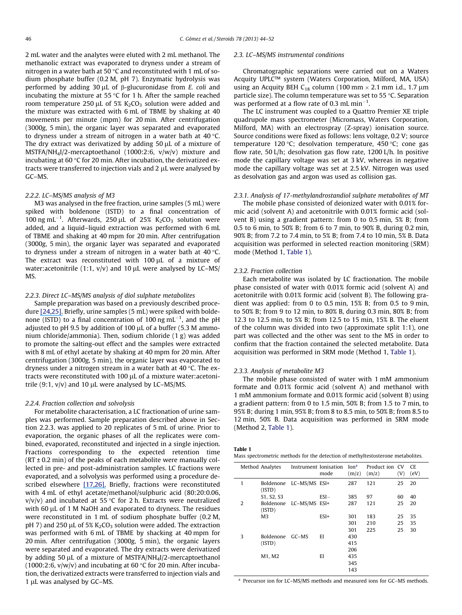2 mL water and the analytes were eluted with 2 mL methanol. The methanolic extract was evaporated to dryness under a stream of nitrogen in a water bath at 50  $\degree$ C and reconstituted with 1 mL of sodium phosphate buffer (0.2 M, pH 7). Enzymatic hydrolysis was performed by adding 30  $\mu$ L of  $\beta$ -glucuronidase from *E. coli* and incubating the mixture at 55  $\degree$ C for 1 h. After the sample reached room temperature 250  $\mu$ L of 5% K<sub>2</sub>CO<sub>3</sub> solution were added and the mixture was extracted with 6 mL of TBME by shaking at 40 movements per minute (mpm) for 20 min. After centrifugation (3000g, 5 min), the organic layer was separated and evaporated to dryness under a stream of nitrogen in a water bath at  $40^{\circ}$ C. The dry extract was derivatized by adding  $50 \mu$ L of a mixture of MSTFA/NH4I/2-mercaptoethanol (1000:2:6, v/w/v) mixture and incubating at 60  $\degree$ C for 20 min. After incubation, the derivatized extracts were transferred to injection vials and  $2 \mu L$  were analysed by GC–MS.

# 2.2.2. LC–MS/MS analysis of M3

M3 was analysed in the free fraction, urine samples (5 mL) were spiked with boldenone (ISTD) to a final concentration of 100 ng mL<sup>-1</sup>. Afterwards, 250 µL of 25%  $K_2CO_3$  solution were added, and a liquid–liquid extraction was performed with 6 mL of TBME and shaking at 40 mpm for 20 min. After centrifugation (3000g, 5 min), the organic layer was separated and evaporated to dryness under a stream of nitrogen in a water bath at  $40^{\circ}$ C. The extract was reconstituted with 100 µL of a mixture of water: acetonitrile  $(1:1, v/v)$  and 10  $\mu$ L were analysed by LC–MS/ MS.

## 2.2.3. Direct LC–MS/MS analysis of diol sulphate metabolites

Sample preparation was based on a previously described procedure [\[24,25\].](https://www.researchgate.net/publication/223358774_Fast_screening_method_for_diuretics_probenecid_and_other_compounds_of_doping_interest?el=1_x_8&enrichId=rgreq-04eebf70-7c2d-42ee-9bbf-8444a7efb376&enrichSource=Y292ZXJQYWdlOzIzMjkzMjYyNDtBUzoxMDI4ODE4NDM3NDQ3NzJAMTQwMTU0MDM1MTU4Ng==) Briefly, urine samples (5 mL) were spiked with boldenone (ISTD) to a final concentration of 100 ng mL<sup>-1</sup>, and the pH adjusted to pH 9.5 by addition of 100  $\mu$ L of a buffer (5.3 M ammonium chloride/ammonia). Then, sodium chloride (1 g) was added to promote the salting-out effect and the samples were extracted with 8 mL of ethyl acetate by shaking at 40 mpm for 20 min. After centrifugation (3000g, 5 min), the organic layer was evaporated to dryness under a nitrogen stream in a water bath at  $40^{\circ}$ C. The extracts were reconstituted with 100  $\mu$ L of a mixture water: acetonitrile  $(9:1, v/v)$  and 10 µL were analysed by LC–MS/MS.

#### 2.2.4. Fraction collection and solvolysis

For metabolite characterisation, a LC fractionation of urine samples was performed. Sample preparation described above in Section 2.2.3. was applied to 20 replicates of 5 mL of urine. Prior to evaporation, the organic phases of all the replicates were combined, evaporated, reconstituted and injected in a single injection. Fractions corresponding to the expected retention time  $(RT \pm 0.2 \text{ min})$  of the peaks of each metabolite were manually collected in pre- and post-administration samples. LC fractions were evaporated, and a solvolysis was performed using a procedure described elsewhere [\[17,26\].](https://www.researchgate.net/publication/6420300_Quantitation_of_17b-nandrolone_metabolites_in_boar_and_horse_urine_by_gas_chromatography-mass_spectrometry?el=1_x_8&enrichId=rgreq-04eebf70-7c2d-42ee-9bbf-8444a7efb376&enrichSource=Y292ZXJQYWdlOzIzMjkzMjYyNDtBUzoxMDI4ODE4NDM3NDQ3NzJAMTQwMTU0MDM1MTU4Ng==) Briefly, fractions were reconstituted with 4 mL of ethyl acetate/methanol/sulphuric acid (80:20:0.06,  $v/v/v$ ) and incubated at 55 °C for 2 h. Extracts were neutralized with 60 µL of 1 M NaOH and evaporated to dryness. The residues were reconstituted in 1 mL of sodium phosphate buffer (0.2 M, pH 7) and 250  $\mu$ L of 5% K<sub>2</sub>CO<sub>3</sub> solution were added. The extraction was performed with 6 mL of TBME by shacking at 40 mpm for 20 min. After centrifugation (3000g, 5 min), the organic layers were separated and evaporated. The dry extracts were derivatized by adding 50  $\mu$ L of a mixture of MSTFA/NH<sub>4</sub>I/2-mercaptoethanol (1000:2:6,  $v/w/v$ ) and incubating at 60 °C for 20 min. After incubation, the derivatized extracts were transferred to injection vials and 1 µL was analysed by GC–MS.

#### 2.3. LC–MS/MS instrumental conditions

Chromatographic separations were carried out on a Waters Acquity UPLC™ system (Waters Corporation, Milford, MA, USA) using an Acquity BEH C<sub>18</sub> column (100 mm  $\times$  2.1 mm i.d., 1.7 µm particle size). The column temperature was set to 55  $\degree$ C. Separation was performed at a flow rate of 0.3 mL min<sup>-1</sup>.

The LC instrument was coupled to a Quattro Premier XE triple quadrupole mass spectrometer (Micromass, Waters Corporation, Milford, MA) with an electrospray (Z-spray) ionisation source. Source conditions were fixed as follows: lens voltage, 0.2 V; source temperature 120 °C; desolvation temperature, 450 °C; cone gas flow rate, 50 L/h; desolvation gas flow rate, 1200 L/h. In positive mode the capillary voltage was set at 3 kV, whereas in negative mode the capillary voltage was set at 2.5 kV. Nitrogen was used as desolvation gas and argon was used as collision gas.

# 2.3.1. Analysis of 17-methylandrostandiol sulphate metabolites of MT

The mobile phase consisted of deionized water with 0.01% formic acid (solvent A) and acetonitrile with 0.01% formic acid (solvent B) using a gradient pattern: from 0 to 0.5 min, 5% B; from 0.5 to 6 min, to 50% B; from 6 to 7 min, to 90% B, during 0.2 min, 90% B; from 7.2 to 7.4 min, to 5% B; from 7.4 to 10 min, 5% B. Data acquisition was performed in selected reaction monitoring (SRM) mode (Method 1, Table 1).

#### 2.3.2. Fraction collection

Each metabolite was isolated by LC fractionation. The mobile phase consisted of water with 0.01% formic acid (solvent A) and acetonitrile with 0.01% formic acid (solvent B). The following gradient was applied: from 0 to 0.5 min, 15% B; from 0.5 to 9 min, to 50% B; from 9 to 12 min, to 80% B, during 0.3 min, 80% B; from 12.3 to 12.5 min, to 5% B; from 12.5 to 15 min, 15% B. The eluent of the column was divided into two (approximate split 1:1), one part was collected and the other was sent to the MS in order to confirm that the fraction contained the selected metabolite. Data acquisition was performed in SRM mode (Method 1, Table 1).

## 2.3.3. Analysis of metabolite M3

The mobile phase consisted of water with 1 mM ammonium formate and 0.01% formic acid (solvent A) and methanol with 1 mM ammonium formate and 0.01% formic acid (solvent B) using a gradient pattern: from 0 to 1.5 min, 50% B; from 1.5 to 7 min, to 95% B; during 1 min, 95% B; from 8 to 8.5 min, to 50% B; from 8.5 to 12 min, 50% B. Data acquisition was performed in SRM mode (Method 2, Table 1).

# Table 1

| Mass spectrometric methods for the detection of methyltestosterone metabolites. |  |  |
|---------------------------------------------------------------------------------|--|--|
|---------------------------------------------------------------------------------|--|--|

|              | Method Analytes     | Instrument Ionisation   | mode    | Ion <sup>a</sup><br>(m/z) | Product ion CV<br>(m/z) | (V) | CE.<br>(eV) |
|--------------|---------------------|-------------------------|---------|---------------------------|-------------------------|-----|-------------|
| $\mathbf{1}$ | (ISTD)              | Boldenone LC-MS/MS ESI+ |         | 287                       | 121                     | 25  | 20          |
|              | S1, S2, S3          |                         | $ESI -$ | 385                       | 97                      | 60  | 40          |
| 2            | Boldenone<br>(ISTD) | LC-MS/MS ESI+           |         | 287                       | 121                     | 25  | 20          |
|              | M <sub>3</sub>      |                         | ESI+    | 301                       | 183                     | 25  | 35          |
|              |                     |                         |         | 301                       | 210                     | 25  | 35          |
|              |                     |                         |         | 301                       | 225                     | 25  | 30          |
| 3            | <b>Boldenone</b>    | $G$ C $-MS$             | EI      | 430                       |                         |     |             |
|              | (ISTD)              |                         |         | 415                       |                         |     |             |
|              |                     |                         |         | 206                       |                         |     |             |
|              | M1, M2              |                         | EI      | 435                       |                         |     |             |
|              |                     |                         |         | 345                       |                         |     |             |
|              |                     |                         |         | 143                       |                         |     |             |

<sup>a</sup> Precursor ion for LC–MS/MS methods and measured ions for GC–MS methods.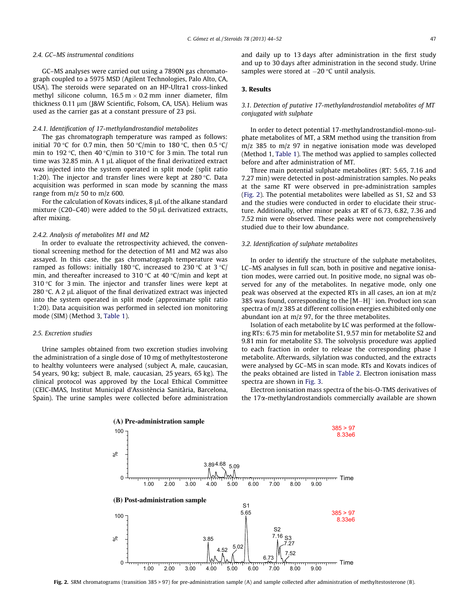#### 2.4. GC–MS instrumental conditions

GC–MS analyses were carried out using a 7890N gas chromatograph coupled to a 5975 MSD (Agilent Technologies, Palo Alto, CA, USA). The steroids were separated on an HP-Ultra1 cross-linked methyl silicone column,  $16.5 \text{ m} \times 0.2 \text{ mm}$  inner diameter, film thickness 0.11 μm (J&W Scientific, Folsom, CA, USA). Helium was used as the carrier gas at a constant pressure of 23 psi.

### 2.4.1. Identification of 17-methylandrostandiol metabolites

The gas chromatograph temperature was ramped as follows: initial 70 °C for 0.7 min, then 50 °C/min to 180 °C, then 0.5 °C/ min to 192 °C, then 40 °C/min to 310 °C for 3 min. The total run time was 32.85 min. A 1  $\mu$ L aliquot of the final derivatized extract was injected into the system operated in split mode (split ratio 1:20). The injector and transfer lines were kept at  $280^{\circ}$ C. Data acquisition was performed in scan mode by scanning the mass range from m/z 50 to m/z 600.

For the calculation of Kovats indices, 8 µL of the alkane standard mixture (C20-C40) were added to the 50 µL derivatized extracts, after mixing.

### 2.4.2. Analysis of metabolites M1 and M2

In order to evaluate the retrospectivity achieved, the conventional screening method for the detection of M1 and M2 was also assayed. In this case, the gas chromatograph temperature was ramped as follows: initially 180 °C, increased to 230 °C at 3 °C/ min, and thereafter increased to 310 °C at 40 °C/min and kept at 310  $\degree$ C for 3 min. The injector and transfer lines were kept at 280  $\degree$ C. A 2 µL aliquot of the final derivatized extract was injected into the system operated in split mode (approximate split ratio 1:20). Data acquisition was performed in selected ion monitoring mode (SIM) (Method 3, Table 1).

#### 2.5. Excretion studies

Urine samples obtained from two excretion studies involving the administration of a single dose of 10 mg of methyltestosterone to healthy volunteers were analysed (subject A, male, caucasian, 54 years, 90 kg; subject B, male, caucasian, 25 years, 65 kg). The clinical protocol was approved by the Local Ethical Committee (CEIC-IMAS, Institut Municipal d'Assistència Sanitària, Barcelona, Spain). The urine samples were collected before administration and daily up to 13 days after administration in the first study and up to 30 days after administration in the second study. Urine samples were stored at  $-20$  °C until analysis.

## 3. Results

## 3.1. Detection of putative 17-methylandrostandiol metabolites of MT conjugated with sulphate

In order to detect potential 17-methylandrostandiol-mono-sulphate metabolites of MT, a SRM method using the transition from m/z 385 to m/z 97 in negative ionisation mode was developed (Method 1, Table 1). The method was applied to samples collected before and after administration of MT.

Three main potential sulphate metabolites (RT: 5.65, 7.16 and 7.27 min) were detected in post-administration samples. No peaks at the same RT were observed in pre-administration samples (Fig. 2). The potential metabolites were labelled as S1, S2 and S3 and the studies were conducted in order to elucidate their structure. Additionally, other minor peaks at RT of 6.73, 6.82, 7.36 and 7.52 min were observed. These peaks were not comprehensively studied due to their low abundance.

# 3.2. Identification of sulphate metabolites

In order to identify the structure of the sulphate metabolites, LC–MS analyses in full scan, both in positive and negative ionisation modes, were carried out. In positive mode, no signal was observed for any of the metabolites. In negative mode, only one peak was observed at the expected RTs in all cases, an ion at m/z 385 was found, corresponding to the  $[M-H]$ <sup>-</sup> ion. Product ion scan spectra of m/z 385 at different collision energies exhibited only one abundant ion at m/z 97, for the three metabolites.

Isolation of each metabolite by LC was performed at the following RTs: 6.75 min for metabolite S1, 9.57 min for metabolite S2 and 9.81 min for metabolite S3. The solvolysis procedure was applied to each fraction in order to release the corresponding phase I metabolite. Afterwards, silylation was conducted, and the extracts were analysed by GC–MS in scan mode. RTs and Kovats indices of the peaks obtained are listed in Table 2. Electron ionisation mass spectra are shown in Fig. 3.

Electron ionisation mass spectra of the bis-O-TMS derivatives of the 17a-methylandrostandiols commercially available are shown

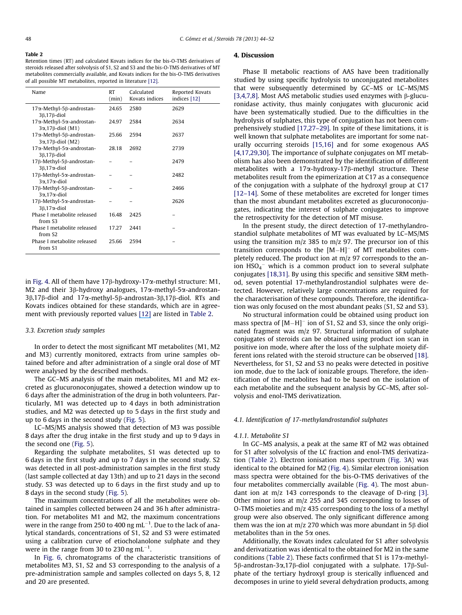#### Table 2

Retention times (RT) and calculated Kovats indices for the bis-O-TMS derivatives of steroids released after solvolysis of S1, S2 and S3 and the bis-O-TMS derivatives of MT metabolites commercially available, and Kovats indices for the bis-O-TMS derivatives of all possible MT metabolites, reported in literature [12].

| Name                                                              | <b>RT</b><br>(min) | Calculated<br>Kovats indices | Reported Kovats<br>indices [12] |
|-------------------------------------------------------------------|--------------------|------------------------------|---------------------------------|
| 17α-Methyl-5β-androstan-<br>$3\beta$ , 17 $\beta$ -diol           | 24.65              | 2580                         | 2629                            |
| 17α-Methyl-5α-androstan-<br>$3\alpha$ , 17 $\beta$ -diol (M1)     | 24.97              | 2584                         | 2634                            |
| 17α-Methyl-5β-androstan-<br>$3\alpha$ , 17 $\beta$ -diol (M2)     | 25.66              | 2594                         | 2637                            |
| 17α-Methyl-5α-androstan-<br>3 <sub>B</sub> ,17 <sup>B</sup> -diol | 28.18              | 2692                         | 2739                            |
| 17β-Methyl-5β-androstan-<br>$3\beta$ , $17\alpha$ -diol           |                    |                              | 2479                            |
| 17β-Methyl-5α-androstan-<br>$3\alpha$ , 17 $\alpha$ -diol         |                    |                              | 2482                            |
| 17β-Methyl-5β-androstan-<br>$3\alpha$ , 17 $\alpha$ -diol         |                    |                              | 2466                            |
| 17β-Methyl-5α-androstan-<br>$3\beta$ , $17\alpha$ -diol           |                    |                              | 2626                            |
| Phase I metabolite released<br>from S3                            | 16.48              | 2425                         |                                 |
| Phase I metabolite released<br>from S <sub>2</sub>                | 17.27              | 2441                         |                                 |
| Phase I metabolite released<br>from S1                            | 25.66              | 2594                         |                                 |

in Fig. 4. All of them have  $17\beta$ -hydroxy-17 $\alpha$ -methyl structure: M1, M2 and their 3 $\beta$ -hydroxy analogues, 17 $\alpha$ -methyl-5 $\alpha$ -androstan- $3\beta$ ,17 $\beta$ -diol and 17 $\alpha$ -methyl-5 $\beta$ -androstan-3 $\beta$ ,17 $\beta$ -diol. RTs and Kovats indices obtained for these standards, which are in agreement with previously reported values [\[12\]](https://www.researchgate.net/publication/21706532_17-Epimerization_of_17_alpha-_methyl_anabolic_steroids_in_humans_Metabolism_and_synthesis_of_17_alpha-_hydroxy-_17ss-_methyl_steroids?el=1_x_8&enrichId=rgreq-04eebf70-7c2d-42ee-9bbf-8444a7efb376&enrichSource=Y292ZXJQYWdlOzIzMjkzMjYyNDtBUzoxMDI4ODE4NDM3NDQ3NzJAMTQwMTU0MDM1MTU4Ng==) are listed in Table 2.

### 3.3. Excretion study samples

In order to detect the most significant MT metabolites (M1, M2 and M3) currently monitored, extracts from urine samples obtained before and after administration of a single oral dose of MT were analysed by the described methods.

The GC–MS analysis of the main metabolites, M1 and M2 excreted as glucuronoconjugates, showed a detection window up to 6 days after the administration of the drug in both volunteers. Particularly, M1 was detected up to 4 days in both administration studies, and M2 was detected up to 5 days in the first study and up to 6 days in the second study (Fig. 5).

LC–MS/MS analysis showed that detection of M3 was possible 8 days after the drug intake in the first study and up to 9 days in the second one (Fig. 5).

Regarding the sulphate metabolites, S1 was detected up to 6 days in the first study and up to 7 days in the second study. S2 was detected in all post-administration samples in the first study (last sample collected at day 13th) and up to 21 days in the second study. S3 was detected up to 6 days in the first study and up to 8 days in the second study (Fig. 5).

The maximum concentrations of all the metabolites were obtained in samples collected between 24 and 36 h after administration. For metabolites M1 and M2, the maximum concentrations were in the range from 250 to 400 ng mL $^{-1}$ . Due to the lack of analytical standards, concentrations of S1, S2 and S3 were estimated using a calibration curve of etiocholanolone sulphate and they were in the range from 30 to 230 ng mL $^{-1}$ .

In Fig. 6, chromatograms of the characteristic transitions of metabolites M3, S1, S2 and S3 corresponding to the analysis of a pre-administration sample and samples collected on days 5, 8, 12 and 20 are presented.

# 4. Discussion

Phase II metabolic reactions of AAS have been traditionally studied by using specific hydrolysis to unconjugated metabolites that were subsequently determined by GC–MS or LC–MS/MS [3,4,7,8]. Most AAS metabolic studies used enzymes with  $\beta$ -glucuronidase activity, thus mainly conjugates with glucuronic acid have been systematically studied. Due to the difficulties in the hydrolysis of sulphates, this type of conjugation has not been comprehensively studied [17,27–29]. In spite of these limitations, it is well known that sulphate metabolites are important for some naturally occurring steroids [15,16] and for some exogenous AAS [4,17,29,30]. The importance of sulphate conjugates on MT metabolism has also been demonstrated by the identification of different metabolites with a  $17\alpha$ -hydroxy-17 $\beta$ -methyl structure. These metabolites result from the epimerization at C17 as a consequence of the conjugation with a sulphate of the hydroxyl group at C17 [12–14]. Some of these metabolites are excreted for longer times than the most abundant metabolites excreted as glucuronoconjugates, indicating the interest of sulphate conjugates to improve the retrospectivity for the detection of MT misuse.

In the present study, the direct detection of 17-methylandrostandiol sulphate metabolites of MT was evaluated by LC–MS/MS using the transition  $m/z$  385 to  $m/z$  97. The precursor ion of this transition corresponds to the  $[M-H]$ <sup>-</sup> of MT metabolites completely reduced. The product ion at m/z 97 corresponds to the anion  $HSO_4^-$  which is a common product ion to several sulphate conjugates [18,31]. By using this specific and sensitive SRM method, seven potential 17-methylandrostandiol sulphates were detected. However, relatively large concentrations are required for the characterisation of these compounds. Therefore, the identification was only focused on the most abundant peaks (S1, S2 and S3).

No structural information could be obtained using product ion mass spectra of  $[M-H]$ <sup>-</sup> ion of S1, S2 and S3, since the only originated fragment was m/z 97. Structural information of sulphate conjugates of steroids can be obtained using product ion scan in positive ion mode, where after the loss of the sulphate moiety different ions related with the steroid structure can be observed [18]. Nevertheless, for S1, S2 and S3 no peaks were detected in positive ion mode, due to the lack of ionizable groups. Therefore, the identification of the metabolites had to be based on the isolation of each metabolite and the subsequent analysis by GC–MS, after solvolysis and enol-TMS derivatization.

### 4.1. Identification of 17-methylandrostandiol sulphates

#### 4.1.1. Metabolite S1

In GC–MS analysis, a peak at the same RT of M2 was obtained for S1 after solvolysis of the LC fraction and enol-TMS derivatization (Table 2). Electron ionisation mass spectrum (Fig. 3A) was identical to the obtained for M2 (Fig. 4). Similar electron ionisation mass spectra were obtained for the bis-O-TMS derivatives of the four metabolites commercially available (Fig. 4). The most abundant ion at m/z 143 corresponds to the cleavage of D-ring [3]. Other minor ions at m/z 255 and 345 corresponding to losses of O-TMS moieties and m/z 435 corresponding to the loss of a methyl group were also observed. The only significant difference among them was the ion at  $m/z$  270 which was more abundant in 5 $\beta$  diol metabolites than in the  $5\alpha$  ones.

Additionally, the Kovats index calculated for S1 after solvolysis and derivatization was identical to the obtained for M2 in the same conditions (Table 2). These facts confirmed that S1 is  $17\alpha$ -methyl- $5\beta$ -androstan-3 $\alpha$ ,17 $\beta$ -diol conjugated with a sulphate. 17 $\beta$ -Sulphate of the tertiary hydroxyl group is sterically influenced and decomposes in urine to yield several dehydration products, among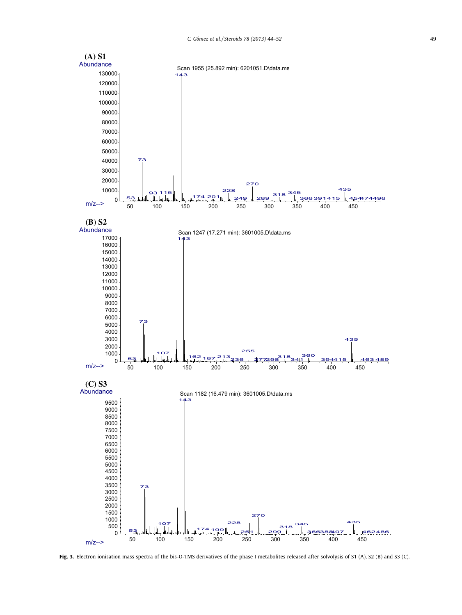

Fig. 3. Electron ionisation mass spectra of the bis-O-TMS derivatives of the phase I metabolites released after solvolysis of S1 (A), S2 (B) and S3 (C).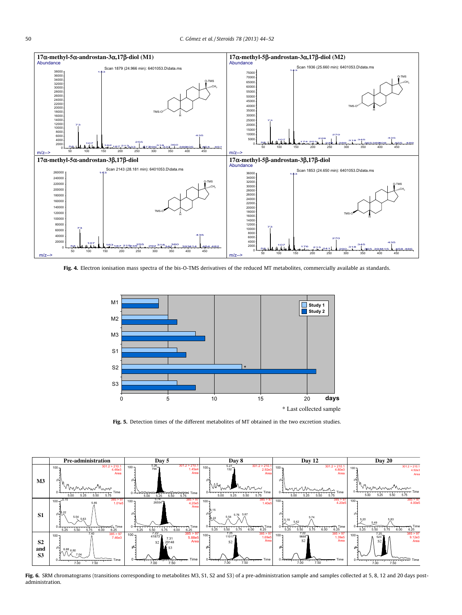

Fig. 4. Electron ionisation mass spectra of the bis-O-TMS derivatives of the reduced MT metabolites, commercially available as standards.



Fig. 5. Detection times of the different metabolites of MT obtained in the two excretion studies.



Fig. 6. SRM chromatograms (transitions corresponding to metabolites M3, S1, S2 and S3) of a pre-administration sample and samples collected at 5, 8, 12 and 20 days postadministration.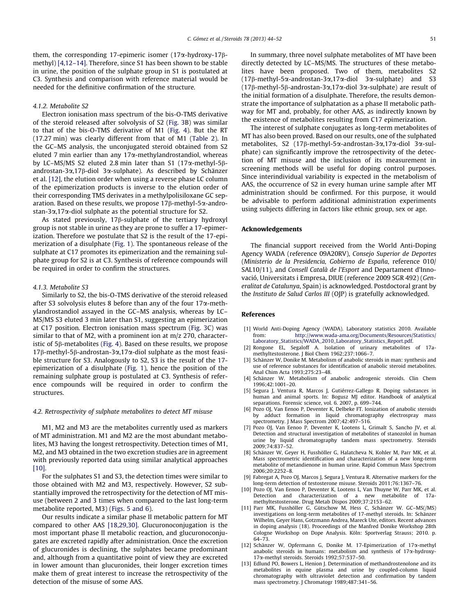them, the corresponding 17-epimeric isomer  $(17\alpha$ -hydroxy-17 $\beta$ methyl) [4,12–14]. Therefore, since S1 has been shown to be stable in urine, the position of the sulphate group in S1 is postulated at C3. Synthesis and comparison with reference material would be needed for the definitive confirmation of the structure.

## 4.1.2. Metabolite S2

Electron ionisation mass spectrum of the bis-O-TMS derivative of the steroid released after solvolysis of S2 (Fig. 3B) was similar to that of the bis-O-TMS derivative of M1 (Fig. 4). But the RT (17.27 min) was clearly different from that of M1 (Table 2). In the GC–MS analysis, the unconjugated steroid obtained from S2 eluted 7 min earlier than any  $17\alpha$ -methylandrostandiol, whereas by LC–MS/MS S2 eluted 2.8 min later than S1 (17 $\alpha$ -methyl-5 $\beta$ androstan-3 $\alpha$ ,17 $\beta$ -diol 3 $\alpha$ -sulphate). As described by Schänzer et al. [12], the elution order when using a reverse phase LC column of the epimerization products is inverse to the elution order of their corresponding TMS derivates in a methylpolisiloxane GC separation. Based on these results, we propose  $17\beta$ -methyl-5 $\alpha$ -androstan-3 $\alpha$ ,17 $\alpha$ -diol sulphate as the potential structure for S2.

As stated previously,  $17\beta$ -sulphate of the tertiary hydroxyl group is not stable in urine as they are prone to suffer a 17-epimerization. Therefore we postulate that S2 is the result of the 17-epimerization of a disulphate (Fig. 1). The spontaneous release of the sulphate at C17 promotes its epimerization and the remaining sulphate group for S2 is at C3. Synthesis of reference compounds will be required in order to confirm the structures.

### 4.1.3. Metabolite S3

Similarly to S2, the bis-O-TMS derivative of the steroid released after S3 solvolysis elutes 8 before than any of the four  $17\alpha$ -methylandrostandiol assayed in the GC–MS analysis, whereas by LC– MS/MS S3 eluted 3 min later than S1, suggesting an epimerization at C17 position. Electron ionisation mass spectrum (Fig. 3C) was similar to that of M2, with a prominent ion at m/z 270, characteristic of  $5\beta$ -metabolites (Fig. 4). Based on these results, we propose  $17\beta$ -methyl-5 $\beta$ -androstan-3 $\alpha$ ,17 $\alpha$ -diol sulphate as the most feasible structure for S3. Analogously to S2, S3 is the result of the 17 epimerization of a disulphate (Fig. 1), hence the position of the remaining sulphate group is postulated at C3. Synthesis of reference compounds will be required in order to confirm the structures.

## 4.2. Retrospectivity of sulphate metabolites to detect MT misuse

M1, M2 and M3 are the metabolites currently used as markers of MT administration. M1 and M2 are the most abundant metabolites, M3 having the longest retrospectivity. Detection times of M1, M2, and M3 obtained in the two excretion studies are in agreement with previously reported data using similar analytical approaches  $[10]$ .

For the sulphates S1 and S3, the detection times were similar to those obtained with M2 and M3, respectively. However, S2 substantially improved the retrospectivity for the detection of MT misuse (between 2 and 3 times when compared to the last long-term metabolite reported, M3) (Figs. 5 and 6).

Our results indicate a similar phase II metabolic pattern for MT compared to other AAS [18,29,30]. Glucuronoconjugation is the most important phase II metabolic reaction, and glucuronoconjugates are excreted rapidly after administration. Once the excretion of glucuronides is declining, the sulphates became predominant and, although from a quantitative point of view they are excreted in lower amount than glucuronides, their longer excretion times make them of great interest to increase the retrospectivity of the detection of the misuse of some AAS.

In summary, three novel sulphate metabolites of MT have been directly detected by LC–MS/MS. The structures of these metabolites have been proposed. Two of them, metabolites S2  $(17\beta$ -methyl-5 $\alpha$ -androstan-3 $\alpha$ ,17 $\alpha$ -diol 3 $\alpha$ -sulphate) and S3 ( $17\beta$ -methyl-5 $\beta$ -androstan-3 $\alpha$ ,17 $\alpha$ -diol 3 $\alpha$ -sulphate) are result of the initial formation of a disulphate. Therefore, the results demonstrate the importance of sulphatation as a phase II metabolic pathway for MT and, probably, for other AAS, as indirectly known by the existence of metabolites resulting from C17 epimerization.

The interest of sulphate conjugates as long-term metabolites of MT has also been proved. Based on our results, one of the sulphated metabolites, S2 (17b-methyl-5a-androstan-3a,17a-diol 3a-sulphate) can significantly improve the retrospectivity of the detection of MT misuse and the inclusion of its measurement in screening methods will be useful for doping control purposes. Since interindividual variability is expected in the metabolism of AAS, the occurrence of S2 in every human urine sample after MT administration should be confirmed. For this purpose, it would be advisable to perform additional administration experiments using subjects differing in factors like ethnic group, sex or age.

## Acknowledgements

The financial support received from the World Anti-Doping Agency WADA (reference 09A20RV), Consejo Superior de Deportes (Ministerio de la Presidencia, Gobierno de España, reference 010/ SAL10/11), and Consell Català de l'Esport and Departament d'Innovació, Universitats i Empresa, DIUE (reference 2009 SGR 492) (Generalitat de Catalunya, Spain) is acknowledged. Postdoctoral grant by the Instituto de Salud Carlos III (OJP) is gratefully acknowledged.

#### References

- [1] World Anti-Doping Agency (WADA). Laboratory statistics 2010. Available from: [http://www.wada-ama.org/Documents/Resources/Statistics/](http://www.wada-ama.org/Documents/Resources/Statistics/Laboratory_Statistics/WADA_2010_Laboratory_Statistics_Report.pdf) [Laboratory\\_Statistics/WADA\\_2010\\_Laboratory\\_Statistics\\_Report.pdf.](http://www.wada-ama.org/Documents/Resources/Statistics/Laboratory_Statistics/WADA_2010_Laboratory_Statistics_Report.pdf)
- [2] Rongone EL, Segaloff A. Isolation of urinary metabolites of 17amethyltestosterone. J Biol Chem 1962;237:1066–7.
- [3] Schänzer W, Donike M. Metabolism of anabolic steroids in man: synthesis and use of reference substances for identification of anabolic steroid metabolites. Anal Chim Acta 1993;275:23–48.
- [4] Schänzer W. Metabolism of anabolic androgenic steroids. Clin Chem 1996;42:1001–20.
- [5] Segura J, Ventura R, Marcos J, Gutiérrez-Gallego R. Doping substances in human and animal sports. In: Bogusz MJ editor. Handbook of analytical separations. Forensic science, vol. 6. 2007, p. 699–744.
- [6] Pozo OJ, Van Eenoo P, Deventer K, Delbeke FT. Ionization of anabolic steroids by adduct formation in liquid chromatography electrospray mass spectrometry. J Mass Spectrom 2007;42:497–516.
- [7] Pozo OJ, Van Eenoo P, Deventer K, Lootens L, Grimalt S, Sancho JV, et al. Detection and structural investigation of metabolites of stanozolol in human urine by liquid chromatography tandem mass spectrometry. Steroids 2009;74:837–52.
- [8] Schänzer W, Geyer H, Fusshöller G, Halatcheva N, Kohler M, Parr MK, et al. Mass spectrometric identification and characterization of a new long-term metabolite of metandienone in human urine. Rapid Commun Mass Spectrom 2006;20:2252–8.
- [9] Fabregat A, Pozo OJ, Marcos J, Segura J, Ventura R. Alternative markers for the long-term detection of testosterone misuse. Steroids 2011;76:1367–76.
- [10] Pozo OJ, Van Eenoo P, Deventer K, Lootens L, Van Thuyne W, Parr MK, et al. Detection and characterization of a methyltestosterone. Drug Metab Dispos 2009;37:2153–62.
- [11] Parr MK, Fusshöller G, Gütschow M, Hess C, Schänzer W. GC–MS(/MS) investigations on long-term metabolites of 17-methyl steroids. In: Schänzer Wilhelm, Geyer Hans, Gotzmann Andrea, Mareck Ute, editors. Recent advances in doping analysis (18). Proceedings of the Manfred Donike Workshop 28th Cologne Workshop on Dope Analysis. Köln: Sportverlag Strauss; 2010. p. 64–73.
- [12] Schänzer W, Opfermann G, Donike M. 17-Epimerization of 17a-methyl anabolic steroids in humans: metabolism and synthesis of 17a-hydroxy-17a-methyl steroids. Steroids 1992;57:537–50.
- [13] Edlund PO, Bowers L, Henion J. Determination of methandrostenolone and its metabolites in equine plasma and urine by coupled-column liquid chromatography with ultraviolet detection and confirmation by tandem mass spectrometry. J Chromatogr 1989;487:341–56.